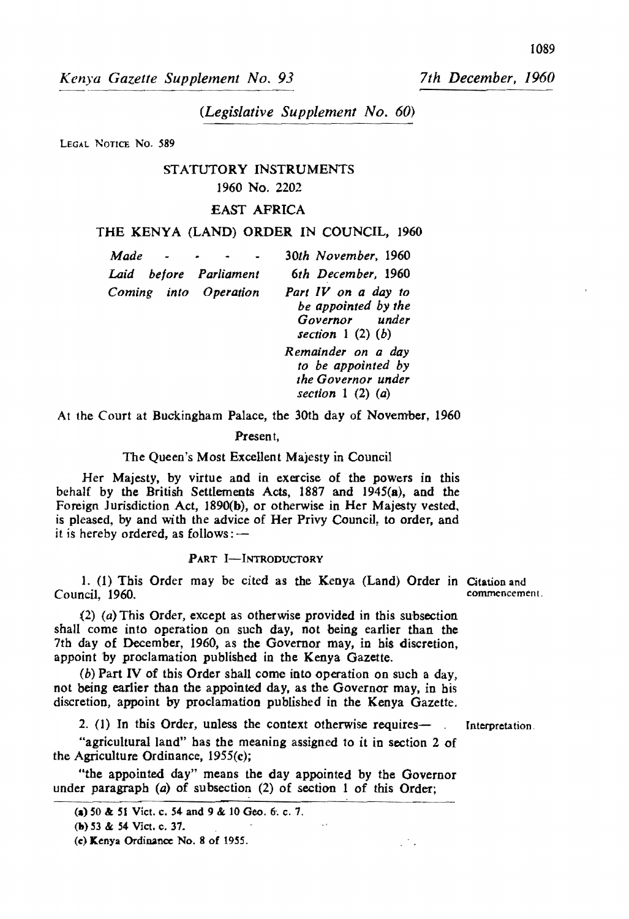*Kenya Gazette Supplement No. 93* 

*7th December, 1960* 

# *(Legislative Supplement No. 60)*

LEGAL NOTICE NO. 589

# STATUTORY INSTRUMENTS

## 1960 No. 2202

## EAST AFRICA

## THE KENYA (LAND) ORDER IN COUNCIL, 1960

| Made                   | 30th November, 1960                                                                 |
|------------------------|-------------------------------------------------------------------------------------|
| Laid before Parliament | 6th December, 1960                                                                  |
| Coming into Operation  | Part IV on a day to<br>be appointed by the<br>Governor under<br>section $1(2)(b)$   |
|                        | Remainder on a day<br>to be appointed by<br>the Governor under<br>section $1(2)(a)$ |

At the Court at Buckingham Palace, the 30th day of November, 1960

#### Present,

#### The Queen's Most Excellent Majesty in Council

Her Majesty, by virtue and in exercise of the powers in this behalf by the British Settlements Acts, 1887 and 1945(8), and the Foreign JUrisdiction Act, 1890(b), or otherwise in Her Majesty vested, is pleased, by and with the advice of Her Privy Council, to order, and it is hereby ordered, as follows: $-$ 

#### PART I-INTRODUCTORY

1. (1) This Order may be cited as the Kenya (Land) Order in Citation and commencement. Council, 1960.

(2) (a) This Order, except as otherwise provided in this subsection shall come into operation on such day, not being earlier than the 7th day of December, 1960, as the Governor may, in his discretion. appoint by proclamation published in the Kenya Gazette.

(b) Part IV of this Order shall come into operation on such a day, not being earlier than the appointed day, as the Governor may, in his discretion, appoint by proclamation published in the Kenya Gazette.

2. (1) In this Order, unless the context otherwise requires-  $\blacksquare$  Interpretation.

 $\mathcal{L}^{\mathcal{N}}$  .

"agricultural land" has the meaning assigned to it in section 2 of the Agriculture Ordinance, 1955(c);

"the appointed day" means the day appointed by the Governor under paragraph (a) of subsection (2) of section 1 of this Order;

<sup>(</sup>a) 50 & 51 Vict. c. 54 and 9 & 10 Geo. 6, c. 7.

<sup>(</sup>h) S3 & 54 Viet. c. 31.

<sup>(</sup>e) K.enya Ordinance No.8 of *19S5.*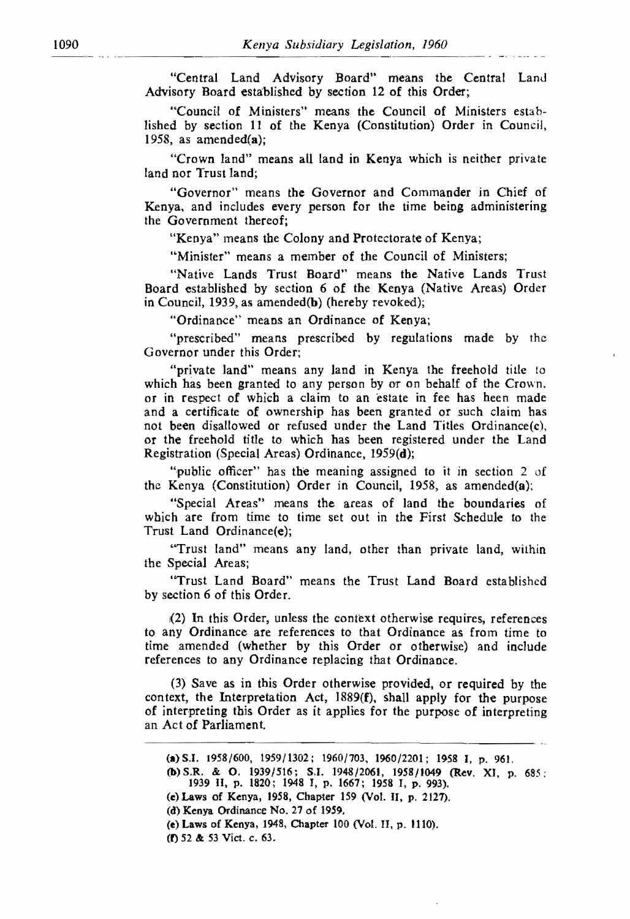"Central Land Advisory Board" means the Central Land Advisory Board established by section 12 of this Order;

"Council of Ministers" means the Council of Ministers established by section 11 of the Kenya (Constitution) Order in Council, 1958, as amended(a);

"Crown land" means all land in Kenya which is neither private land nor Trust land;

"Governor" means the Governor and Commander in Chief of Kenya, and includes every person for the time being administering the Government thereof;

"Kenya" means the Colony and Protectorate of Kenya;

"Minister" means a member of the Council of Ministers;

"Native Lands Trust Board" means the Native Lands Trust Board established by section 6 of the Kenya (Native Areas) Order in Council, 1939, as amended(b) (hereby revoked);

"Ordinance" means an Ordinance of Kenva:

"prescribed" means prescribed by regulations made by the Governor under this Order;

"private land" means any land in Kenya the freehold title to which has been granted to any person by or on behalf of the Crown. or in respect of which a claim to an estate in fee has heen made and a certificate of ownership has been granted or such claim has not been disallowed or refused under the Land Titles Ordinance(c), or the freehold title to which has been registered under the Land Registration (Special Areas) Ordinance. 1959(d);

"public officer" has the meaning assigned to it in section 2 of the Kenya (Constitution) Order in Council, 1958, as amended(a);

"Special Areas" means the areas of land the boundaries of wbich are from time to time set out in the First Schedule to the Trust Land Ordinance(e);

"Trust land" means any land, other than private land, within the Special Areas;

''Trust Land Board" means the Trust Land Board established by section 6 of this Order.

1(2) In this Order, unless the context otherwise requires, references to any Ordinance are references to that Ordinance as from time to time amended (whether by this Order or otherwise) and include references to any Ordinance replacing that Ordinance.

(3) Save as in this Order otherwise provided. or required by the context, the Interpretation Act, 1889(f). shall apply for the purpose of interpreting this Order as it applies for the purpose of interpreting an Act of Parliament.

(e) Laws of Kenya, 1958, Chapter 159 (Vol. II. p. 2127).

<sup>(</sup>a) S.I. 1958/600, 1959/1302; 1960/703, 1960/2201; 1958 I, p. 961.

<sup>(</sup>b)S.R. & O. 19391516; S.1. 194812061, 1958/1049 (Rev. XI, p. 685; 1939 II. p. 1820; 1948 I, p. 1667; 1958 I, p. 993).

<sup>(</sup>d) Kenya Ordinance No. 27 of 1959.

<sup>(</sup>e) Laws of Kenya, 1948, Chapter 100 (Vol. II, p. 1110).

<sup>(</sup>f) 52 &: 53 Vict. c. 63.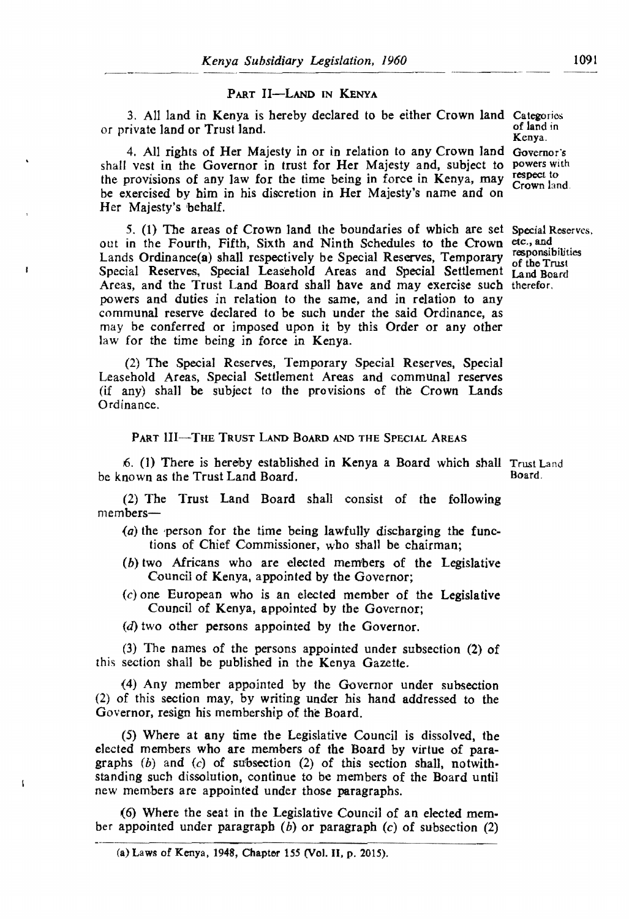#### PART II-LAND IN KENYA

3. All land in Kenya is hereby declared to be either Crown land Categories<br>rivate land or Trust land or private land or Trust land. Kenya.

4. All rights of Her Majesty in or in relation to any Crown land Governor's shaH vest in the Governor in trust for Her Majesty and, subject to the provisions of any law for the time being in force in Kenya, may be exercised by him in his discretion in Her Majesty's name and on Her Majesty's 'behalf. powers with respect to Crown land.

5. (1) The areas of Crown land the boundaries of which are set Special Reserves, out in the Fourth, Fifth, Sixth and Ninth Schedules to the Crown etc., and Lands Ordinance(a) shall respectively be Special Reserves, Temporary Special Reserves, Special Leasehold Areas and Special Settlement Land Board Areas, and the Trust Land Board shall have and may exercise such therefor. powers and duties in relation to the same, and in relation to any communal reserve declared to be such under the said Ordinance, as may be conferred or imposed upon it by this Order or any other law for the time being in force in Kenya.

ł

 $\mathbf{I}$ 

responsibilities of the Trust

(2) The Special Reserves, Temporary Special Reserves, Special Leasehold Areas, Special Settlement Areas and communal reserves (if any) shall be subject to the provisions of the Crown Lands Ordinance.

PART III-THE TRUST LAND BOARD AND THE SPECIAL AREAS

6. (I) There is hereby established in Kenya a Board which shall Trust Land be known as the Trust Land Board.

(2) The Trust Land Board shall consist of the following members-

- $(a)$  the person for the time being lawfully discharging the functions of Chief Commissioner, who shall be chairman;
- (b) two Mricans who are elected members of the Legislative Council of Kenya. appointed by the Governor;
- $(c)$  one European who is an elected member of the Legislative Council of Kenya, appointed by the Governor;
- (d) two other persons appointed by the Governor.

(3) The names of the persons appointed under subsection (2) of this section shall be published in the Kenya Gazette.

(4) Any member appointed by the Governor under subsection (2) of this section may, by writing under his hand addressed to the Governor, resign his membership of the Board.

(5) Where at any time the Legislative Council is dissolved, the elected members who are members of the Board by virtue of paragraphs  $(b)$  and  $(c)$  of subsection  $(2)$  of this section shall, notwithstanding such dissolution, continue to be members of the Board until new members are appointed under those paragraphs.

(6) Where the seat in the Legislative Council of an elected mem· ber appointed under paragraph  $(b)$  or paragraph  $(c)$  of subsection  $(2)$ 

<sup>(</sup>a) Laws of Kenya, 1948, Chapter 155 (Vol. II, p. 2015).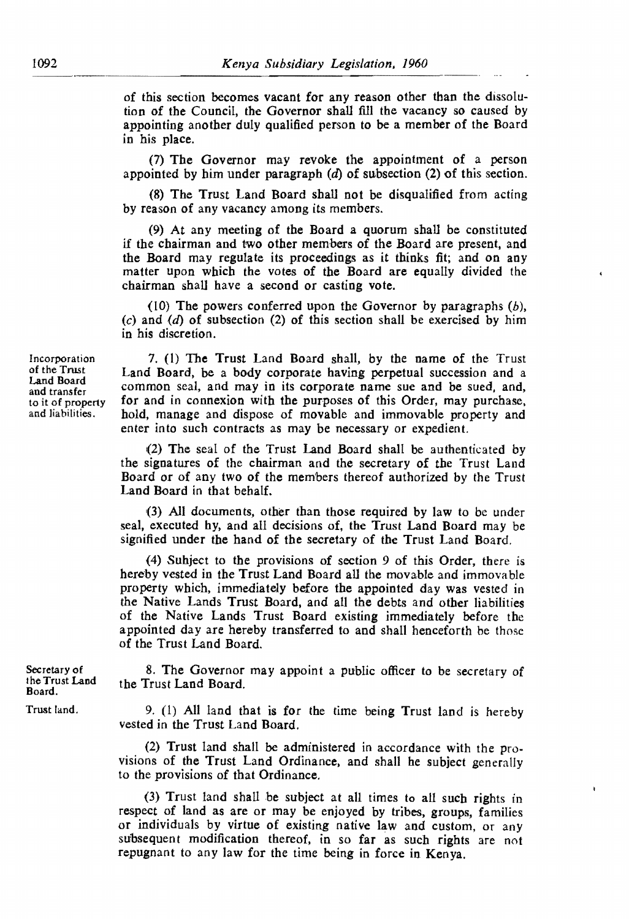of this section becomes vacant for any reason other than the dissolution of the Council, the Governor shall fill the vacancy so caused by appointing another duly qualified person to be a member of the Board in his place.

(7) The Governor may revoke the appointment of a person appointed by him under paragraph  $(d)$  of subsection  $(2)$  of this section.

(8) The Trust Land Board shall not be disqualified from acting by reason of any vacancy among its members.

(9) At any meeting of the Board a quorum shall be constituted if the chairman and two other memhers of the Board are present. and the Board may regulate its proceedings as it thinks fit; and on any matter upon which the votes of the Board are equally divided the chairman shall have a second or casting vote.

(10) The powers conferred upon the Governor by paragraphs  $(b)$ . (c) and  $(d)$  of subsection (2) of this section shall be exercised by him in his discretion.

7. (I) The Trust Land Board shall, by the name of the Trust Land Board, be a body corporate having perpetual succession and a common seal, and may in its corporate name sue and be sued, and, for and in connexion with the purposes of this Order, may purchase, hold, manage and dispose of movable and immovable property and enter into such contracts as may be necessary or expedient.

(2) The seal of the Trust Land Board shall be authenticated by the signatures of the chairman and the secretary of the Trust Land Board or of any two of the members thereof authorized by the Trust Land Board in that behalf.

{3) All documents, other than those required by law to be under seal, executed hy, and all decisions of, the Trust Land Board may be signified under the hand of the secretary of the Trust Land Board.

(4) Suhject to the provisions of section 9 of this Order, there is hereby vested in the Trust Land Board all the movable and immovable property which, immediately before the appointed day was vested in the Native Lands Trust Board. and all the debts and other liabilities of the Native Lands Trust Board existing immediately before the appointed day are hereby transferred to and shall henceforth be those of the Trust Land Board.

8. The Governor may appoint a public officer to be secretary of the Trust Land Board.

9. (1) All land that is for the time being Trust land is hereby vested in the Trust Land Board.

(2) Trust land shall be administered in accordance with the provisions of the Trust Land Ordinance, and shall he subject generally to the provisions of that Ordinance.

(3) Trust land shall be subject at all times to all such rights in respect of land as are or may be enjoyed by tribes, groups, families or individuals by virtue of existing native law and custom, or any subsequent modification thereof, in so far as such rights are not repugnant to any law for the time being in force in Kenya.

Incorporation of the Trust Land Board and transfer to it of property and liabilities.

Secretary of I he Trust Land Board.

Trust land.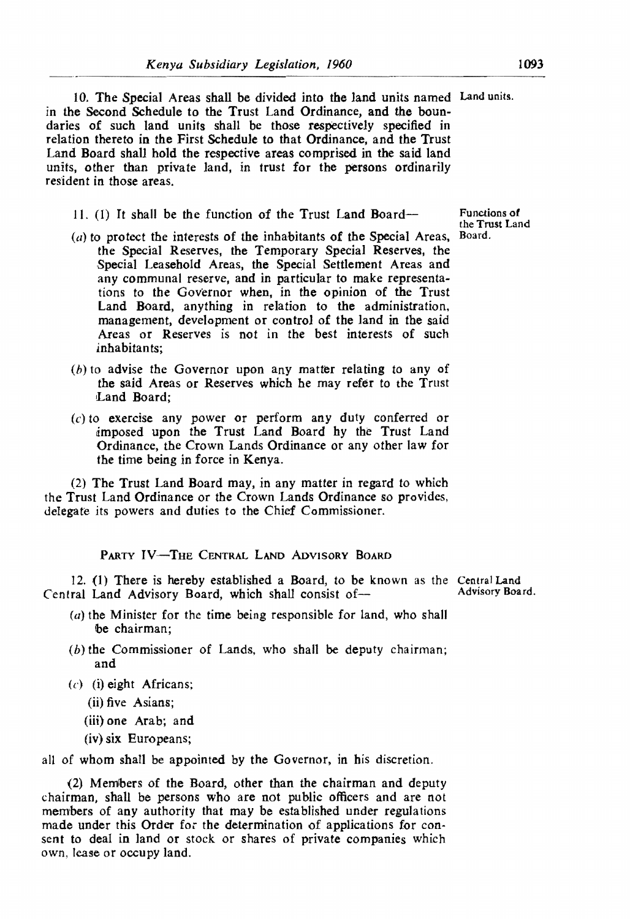10. The Special Areas shall be divided into the land units named Land units. in the Second Schedule to the Trust Land Ordinance, and the boundaries of such land units shall be those respectively specified in relation thereto in the First Schedule to that Ordinance, and the Trust Land Board shall hold the respective areas comprised in the said land units, other than private land, in trust for the persons ordinarily resident in those areas.

11. (1) It shall be the function of the Trust Land Board-

- $(a)$  to protect the interests of the inhabitants of the Special Areas, the Special Reserves, the Temporary Special Reserves, the Special Leasehold Areas, the Special Settlement Areas and any communal reserve, and in particular to make representations to the Governor when, in the opinion of the Trust Land Board, anything in relation to the administration, management, development or control of the land in the said Areas or Reserves is not in the best interests of such inhabitants:
- (b) to advise the Governor upon any matter relating to any of the said Areas or Reserves which he may refer to the Trust Land Board;
- (c) to exercise any power or perform any duty conferred or imposed upon the Trust Land Board hy the Trust Land Ordinance, the Crown Lands Ordinance or any other law for the time being in force in Kenya.

(2) The Trust Land Board may, in any matter in regard to which the Trust Land Ordinance or the Crown Lands Ordinance so provides, delegate its powers and duties to the Chief Commissioner.

PARTY IV-THE CENTRAL LAND ADVISORY BOARD

12. (1) There is hereby established a Board, to be known as the Central Land<br>ral Land Advisory Board, which shall consist of the conditional Advisory Board. Central Land Advisory Board, which shall consist of-

- $(a)$  the Minister for the time being responsible for land, who shall be chairman:
- (b) the Commissioner of Lands, who shall be deputy chairman; and
- $(c)$  (i) eight Africans;
	- (ii) five Asians;
	- (iii) one Arab; and
	- (iv) six Europeans;

all of whom shall be appointed by the Governor. in his discretion.

(2) Members of the Board, other than the chairman and deputy chairman, shall be persons who are not public officers and are not members of any authority that may be established under regulations made under this Order for the determination of applications for consent to deal in land or stock or shares of private companies which own, lease or occupy land.

Functions of the Trust Land Board.

1093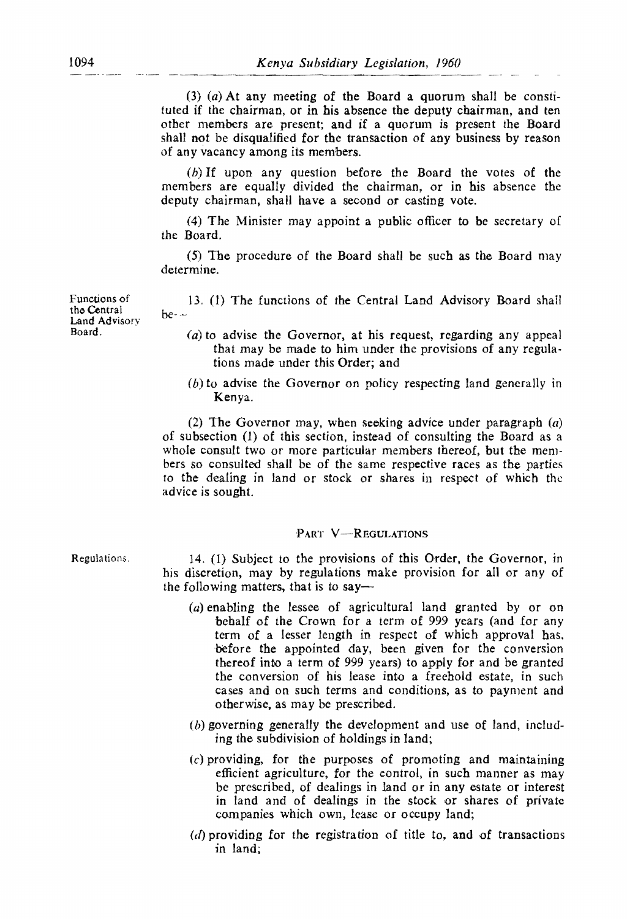$(3)$   $(a)$  At any meeting of the Board a quorum shall be constituted if the chairman, or in his absence the deputy chairman, and ten other members are present; and jf a quorum is present the Board shall not be disqualified for the transaction of any business by reason of any vacancy among its members.

(b) If upon any question before the Board the votes of the members are equally divided the chairman, or in his absence the deputy chairman, shall have a second or casting vote.

(4) The Minister may appoint a public officer to be secretary of the Board.

(5) The procedure of the Board shall be such as the Board may determine.

]3. (1) The functions of the Central Land Advisory Board shall  $be-$ 

- $(a)$  to advise the Governor, at his request, regarding any appeal that may be made to him under the provisions of any regulations made under this Order; and
- (b) to advise the Governor on policy respecting land generally in Kenya.

(2) The Governor may, when seeking advice under paragraph  $(a)$ of subsection (1) of this section, instead of consulting the Board as a whole consult two or more particular members thereof, but the members so consulted shall be of the same respective races as the parties to the dealing in land or stock or shares in respect of which the advice is sought.

## PART V-REGULATIONS

Regulations.

14. (1) Subject to the provisions of this Order, the Governor, in his discretion, may by regulations make provision for all or any of the following matters, that is to say-

- (a) enabling the lessee of agricultural land granted by or on 'behalf of the Crown for a term of 999 years (and for any term of a lesser length in respect of which approval has, before the appointed day, been given for the conversion thereof into a term of 999 years) to apply for and be granted the conversion of his lease into a freehold estate, in such cases and on such terms and conditions, as to payment and otherwise, as may be prescribed.
- (b) governing generally the development and use of land, including the subdivision of holdings in land;
- (c) providing, for the purposes of promoting and maintaining efficient agriculture, for the control, in such manner as may be prescribed, of dealings in land or in any estate or interest in land and of dealings in the stock or shares of private companies which own, lease or occupy land;
- $(d)$  providing for the registration of title to, and of transactions in land;

Functions of the Central Land Advisorv Board.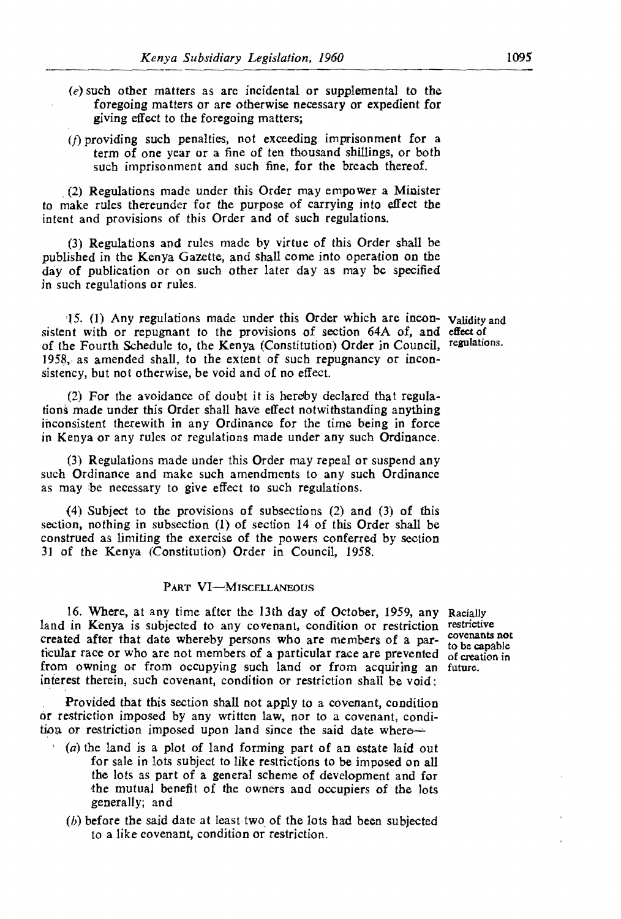- (e) such other matters as are incidental or supplemental to the foregoing matters or are otherwise necessary or expedient for giving effect to the foregoing matters;
- $(f)$  providing such penalties, not exceeding imprisonment for a term of one year or a fine of ten thousand shillings, or both such imprisonment and such fine, for the breach thereof.

\_ (2) Regulations made under this Order may empower a Minister to make rules thereunder for the purpose of carrying into effect the intent and provisions of this Order and of such regulations.

(3) Regulations and rules made by virtue of this Order shall be published in the Kenya Gazette, and shall come into operation on the day of publication or on such other later day as may be specified *in* such regulations or rules.

'l5, (1) Any regulations made under this Order which are incon- Validity and sistent with or repugnant to the provisions of section 64A of. and effect of of the Fourth Schedule to, the Kenya (Constitution) Order *in* Council, regulations. 1958, as amended shall, to the extent of such repugnancy or inconsistency, but not otherwise, be void and of no effect.

(2) For the avoidance of doubt it is hereby declared that regulations made under *this* Order shall have effect notwithstanding anything inconsistent therewith in any Ordinance for the time being in force in Kenya or any rules or regulations made under any such Ordinance.

(3) Regulations made under this Order may repeal or suspend any such Ordinance and make such amendments to any such Ordinance as may be necessary to give effect to such regulations.

(4) Subject to the provisions of subsections (2) and (3) of this section. nothing in subsection (1) of section 14 of this Order shall be construed as limiting the exercise of the powers conferred by section 31 of the Kenya (Constitution) Order in Council, 1958.

# PART VI-MISCELLANEOUS

16. Where. at any time after the 13th day of October, 1959. any Racially land in Kenya is subjected to any covenant, condition or restriction restrictive created after that date whereby persons who are members of a particular race or who are not members of a particular race are prevented of creation in from owning or from occupying such land or from acquiring an future. interest therein, such covenant, condition or restriction shall be void:

Provided that this section shall not apply to a covenant, condition or restriction imposed by any written law, nor to a covenant, condition or restriction imposed upon land since the said date where-

- *\ (a)* the land *is* a plot of land forming part of an estate laid out for sale in lots subject to like restrictions to be imposed on all the lots as part of a general scheme of development and for the mutual benefit of the owners and occupiers of the lots generally; and
	- $(b)$  before the said date at least two of the lots had been subjected to a like covenant, condition or restriction.

covenants not to be capable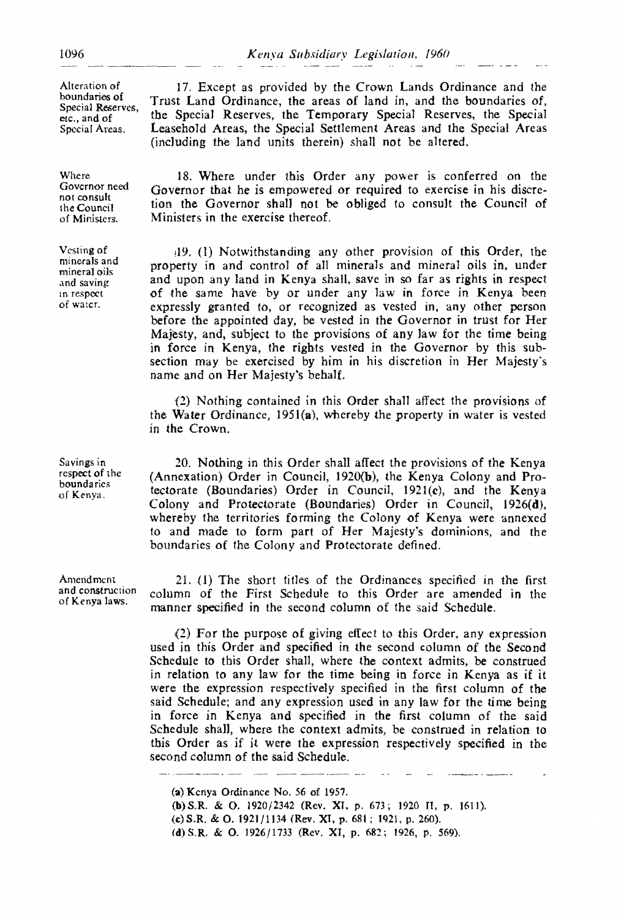Alteration of boundaries of Special Reserves, etc., and of Special Areas.

Where Governor need not consult the Council of Ministers.

Vesling of minerals and mineral oils and saving In respect of water.

Savings in respect of the boundaries of Kenya.

Amendment and construction of Kenya laws.

17. Except as provided by the Crown Lands Ordinance and the Trust Land Ordinance, the areas of land in, and the boundaries of, the Special Reserves, the Temporary Special Reserves, the Special Leasehold Areas, the Special Settlement Areas and the Special Areas (including the land units therein) shall not be altered.

18. Where under this Order any power is conferred on the Governor that he is empowered or required to exercise in his discretion the Governor shalJ not be obliged to consult the Council of Ministers in the exercise thereof.

(19. (1) Notwithstanding any other provision of this Order, the property in and control of all minerals and mineral oils in, under and upon any land in Kenya shall. save in so far as rights in respect of the same have by or under any law in force in Kenya been expressly granted to, or recognized as vested in, any other person before the appointed day, be vested in the Governor in trust for Her Majesty, and, subject to the provisions of any Jaw for the time being in force in Kenya, the rights vested in the Governor by this sub· section may be exercised by him in his discretion in Her Majesty's name and on Her Majesty's behalf.

(2) Nothing contained in this Order shall affect the provisions of the Water Ordinance, 195I(a), whereby the property in water is vested in the Crown.

20. Nothing in this Order shall affect the provisions of the Kenya (Annexation) Order in Council, 1920(b), the Kenya Colony and Protectorate (Boundaries) Order in Council, 1921(c), and the Kenya Colony and Protectorate (Boundaries) Order in Council, 1926(d), whereby the territories forming the Colony of Kenya were annexed to and made to form part of Her Majesty's dominions, and the boundaries of the Colony and Protectorate defined.

21. (1) The short titles of the Ordinances specified in the first column of the First Schedule to this Order are amended in the manner specified in the second column of the said Schedule.

(2) For the purpose of giving effect to this Order, any expression used in this Order and specified in the second column of the Second Schedule to this Order shall, where the context admits, be construed in relation to any law for the time being in force in Kenya as if it were the expression respectively specified in the first column of the said Schedule; and any expression used in any law for the time being in force in Kenya and specified in the first column of the said Schedule shall, where the context admits, be construed in relation to this Order as if it were the expression respectively specified in the second column of the said Schedule.

(a) Kenya Ordinance No. 56 of 1957. (b)S.R. & O. 1920/2342 (Rev. XI, p. 673; 1920 II, p. 1611), (c)S.R. & 0.1921/1134 (Rev. Xl. p. 681; 1921, p. 260). (d) S.R. & O. 1926/1733 (Rev. XI, p. 682; 1926, p. 569).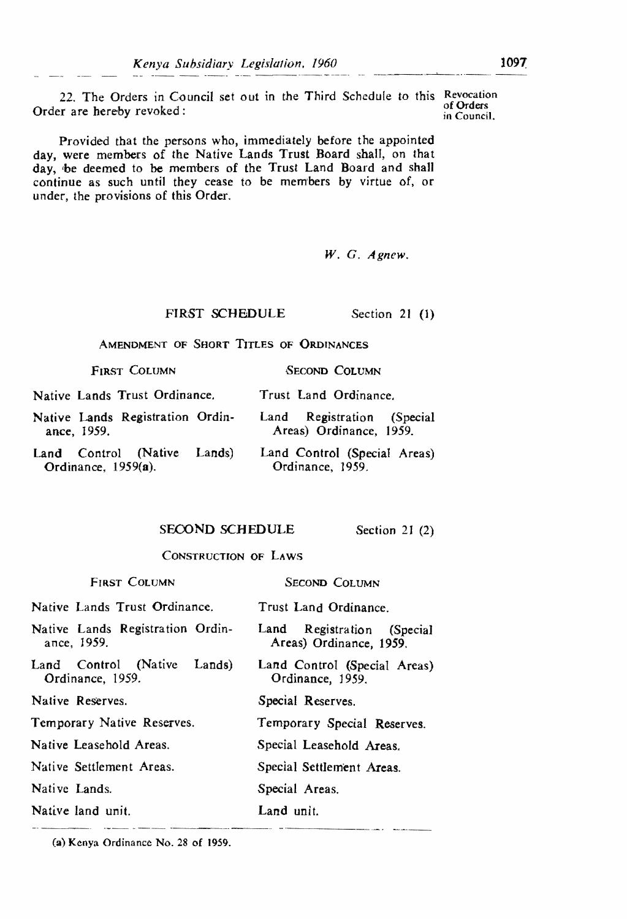22. The Orders in Council set out in the Third Schedule to this Revocation of Orders Order are hereby revoked: in Council. The orders of Orders or Orders of Orders of Orders of Orders of Orders of Orders of Orders of Orders of Orders of Orders of Orders of Orders of Orders of Orders of Orders of Orders of

Provided that the persons who, immediately before the appointed day, were members of the Native Lands Trust Board shall, on that day, 'be deemed to be members of the Trust Land Board and shall continue as such until they cease to be members by virtue of, or under. the provisions of this Order.

*W.* G. *Agnew.* 

#### FIRST SCHEDULE Section 21 (1)

AMENDMENT OF SHORT TITLES OF ORDINANCES

| FIRST COLUMN | SECOND COLUMN |
|--------------|---------------|
|--------------|---------------|

Native Lands Trust Ordinance. Trust Land Ordinance.

- Native Lands Registration Ordinance, 1959. Land Registration (Special Areas) Ordinance, 1959.
- Land Control (Native Lands) Ordinance, 1959(a). Land Control (Special Areas) Ordinance, 1959.

## SECOND SCHEDULE Section 21 (2)

# CONSTRUCTION OF LAWS

| <b>FIRST COLUMN</b>                                | SECOND COLUMN                                                |
|----------------------------------------------------|--------------------------------------------------------------|
| Native Lands Trust Ordinance.                      | Trust Land Ordinance.                                        |
| Native Lands Registration Ordin-<br>ance, 1959.    | Registration<br>Land<br>(Special)<br>Areas) Ordinance, 1959. |
| Land Control (Native<br>Lands)<br>Ordinance, 1959. | Land Control (Special Areas)<br>Ordinance, 1959.             |
| Native Reserves.                                   | Special Reserves.                                            |
| Temporary Native Reserves.                         | Temporary Special Reserves.                                  |
| Native Leasehold Areas.                            | Special Leasehold Areas.                                     |
| Native Settlement Areas.                           | Special Settlement Areas.                                    |
| Native Lands.                                      | Special Areas.                                               |
| Native land unit.                                  | Land unit.                                                   |
|                                                    |                                                              |

(a) Kenya Ordinance No. 28 of 1959.